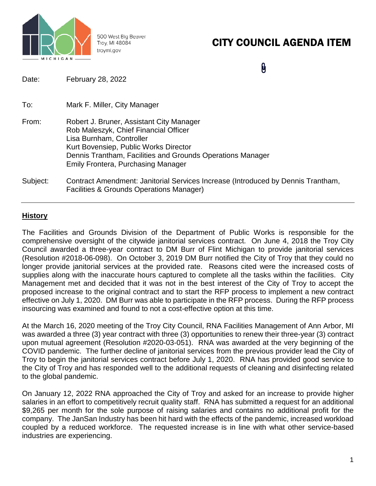

500 West Big Beaver Troy, MI 48084 troymi.gov

## CITY COUNCIL AGENDA ITEM

0

| Date:    | February 28, 2022                                                                                                                                                                                                                                                 |
|----------|-------------------------------------------------------------------------------------------------------------------------------------------------------------------------------------------------------------------------------------------------------------------|
| To:      | Mark F. Miller, City Manager                                                                                                                                                                                                                                      |
| From:    | Robert J. Bruner, Assistant City Manager<br>Rob Maleszyk, Chief Financial Officer<br>Lisa Burnham, Controller<br>Kurt Bovensiep, Public Works Director<br>Dennis Trantham, Facilities and Grounds Operations Manager<br><b>Emily Frontera, Purchasing Manager</b> |
| Subject: | Contract Amendment: Janitorial Services Increase (Introduced by Dennis Trantham,<br>Facilities & Grounds Operations Manager)                                                                                                                                      |

#### **History**

The Facilities and Grounds Division of the Department of Public Works is responsible for the comprehensive oversight of the citywide janitorial services contract. On June 4, 2018 the Troy City Council awarded a three-year contract to DM Burr of Flint Michigan to provide janitorial services (Resolution #2018-06-098). On October 3, 2019 DM Burr notified the City of Troy that they could no longer provide janitorial services at the provided rate. Reasons cited were the increased costs of supplies along with the inaccurate hours captured to complete all the tasks within the facilities. City Management met and decided that it was not in the best interest of the City of Troy to accept the proposed increase to the original contract and to start the RFP process to implement a new contract effective on July 1, 2020. DM Burr was able to participate in the RFP process. During the RFP process insourcing was examined and found to not a cost-effective option at this time.

At the March 16, 2020 meeting of the Troy City Council, RNA Facilities Management of Ann Arbor, MI was awarded a three (3) year contract with three (3) opportunities to renew their three-year (3) contract upon mutual agreement (Resolution #2020-03-051). RNA was awarded at the very beginning of the COVID pandemic. The further decline of janitorial services from the previous provider lead the City of Troy to begin the janitorial services contract before July 1, 2020. RNA has provided good service to the City of Troy and has responded well to the additional requests of cleaning and disinfecting related to the global pandemic.

On January 12, 2022 RNA approached the City of Troy and asked for an increase to provide higher salaries in an effort to competitively recruit quality staff. RNA has submitted a request for an additional \$9,265 per month for the sole purpose of raising salaries and contains no additional profit for the company. The JanSan Industry has been hit hard with the effects of the pandemic, increased workload coupled by a reduced workforce. The requested increase is in line with what other service-based industries are experiencing.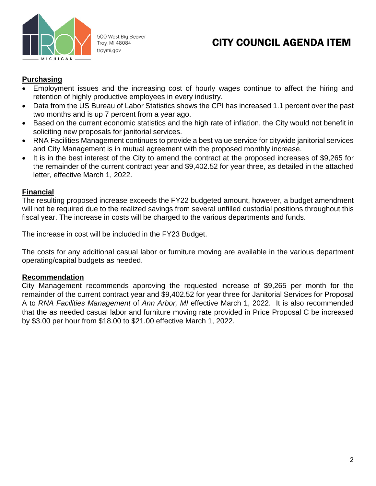

500 West Big Beaver Troy, MI 48084 troymi.gov

## CITY COUNCIL AGENDA ITEM

#### **Purchasing**

- Employment issues and the increasing cost of hourly wages continue to affect the hiring and retention of highly productive employees in every industry.
- Data from the US Bureau of Labor Statistics shows the CPI has increased 1.1 percent over the past two months and is up 7 percent from a year ago.
- Based on the current economic statistics and the high rate of inflation, the City would not benefit in soliciting new proposals for janitorial services.
- RNA Facilities Management continues to provide a best value service for citywide janitorial services and City Management is in mutual agreement with the proposed monthly increase.
- It is in the best interest of the City to amend the contract at the proposed increases of \$9,265 for the remainder of the current contract year and \$9,402.52 for year three, as detailed in the attached letter, effective March 1, 2022.

#### **Financial**

The resulting proposed increase exceeds the FY22 budgeted amount, however, a budget amendment will not be required due to the realized savings from several unfilled custodial positions throughout this fiscal year. The increase in costs will be charged to the various departments and funds.

The increase in cost will be included in the FY23 Budget.

The costs for any additional casual labor or furniture moving are available in the various department operating/capital budgets as needed.

#### **Recommendation**

City Management recommends approving the requested increase of \$9,265 per month for the remainder of the current contract year and \$9,402.52 for year three for Janitorial Services for Proposal A to *RNA Facilities Management* of *Ann Arbor, MI* effective March 1, 2022. It is also recommended that the as needed casual labor and furniture moving rate provided in Price Proposal C be increased by \$3.00 per hour from \$18.00 to \$21.00 effective March 1, 2022.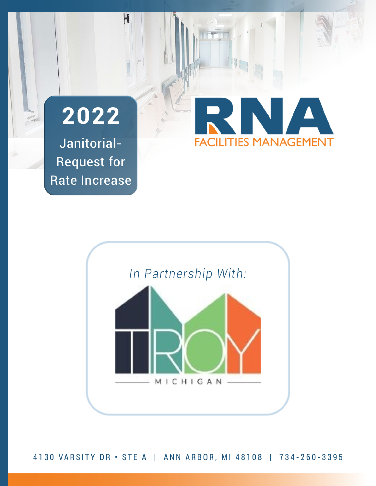

H

Janitorial-Request for Rate Increase





4130 VARSITY DR · STE A | ANN ARBOR, MI 48108 | 734-260-3395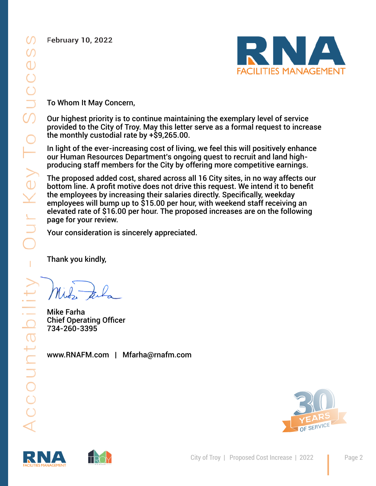**February 10, 2022** 



To Whom It May Concern,

Our highest priority is to continue maintaining the exemplary level of service provided to the City of Troy. May this letter serve as a formal request to increase the monthly custodial rate by +\$9,265.00.

In light of the ever-increasing cost of living, we feel this will positively enhance our Human Resources Department's ongoing quest to recruit and land highproducing staff members for the City by offering more competitive earnings.

The proposed added cost, shared across all 16 City sites, in no way affects our bottom line. A profit motive does not drive this request. We intend it to benefit the employees by increasing their salaries directly. Specifically, weekday employees will bump up to \$15.00 per hour, with weekend staff receiving an elevated rate of \$16.00 per hour. The proposed increases are on the following page for your review.

Your consideration is sincerely appreciated.

Thank you kindly,

Mike Farha Chief Operating Officer 734-260-3395

www.RNAFM.com | Mfarha@rnafm.com





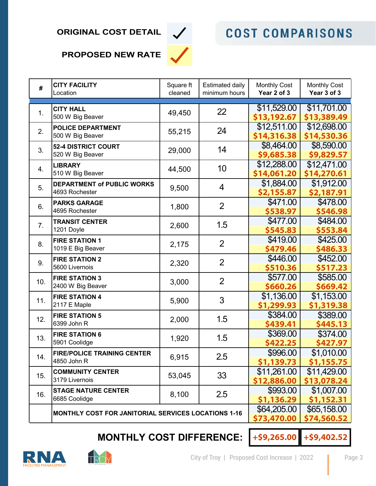### **ORIGINAL COST DETAIL**



# **COST COMPARISONS**

### **PROPOSED NEW RATE**

| #        | <b>CITY FACILITY</b><br>Location                    | Square ft<br>cleaned | <b>Estimated daily</b><br>minimum hours | <b>Monthly Cost</b><br>Year 2 of 3 | <b>Monthly Cost</b><br>Year 3 of 3 |
|----------|-----------------------------------------------------|----------------------|-----------------------------------------|------------------------------------|------------------------------------|
|          | <b>CITY HALL</b>                                    |                      |                                         | \$11,529.00                        | \$11,701.00                        |
| 1.       | 500 W Big Beaver                                    | 49,450               | 22                                      | \$13,192.67                        | \$13,389.49                        |
| 2.       | <b>POLICE DEPARTMENT</b>                            | 55,215               | 24                                      | \$12,511.00                        | \$12,698.00                        |
|          | 500 W Big Beaver                                    |                      |                                         | \$14,316.38                        | \$14,530.36                        |
| 3.       | 52-4 DISTRICT COURT                                 | 29,000               | 14                                      | \$8,464.00                         | \$8,590.00                         |
|          | 520 W Big Beaver                                    |                      |                                         | \$9,685.38                         | \$9,829.57                         |
| 4.<br>5. | <b>LIBRARY</b><br>510 W Big Beaver                  | 44,500               | 10<br>$\overline{4}$                    | \$12,288.00                        | \$12,471.00                        |
|          |                                                     |                      |                                         | \$14,061.20<br>\$1,884.00          | \$14,270.61<br>\$1,912.00          |
|          | <b>DEPARTMENT of PUBLIC WORKS</b><br>4693 Rochester | 9,500                |                                         | \$2,155.87                         | \$2,187.91                         |
| 6.       | <b>PARKS GARAGE</b>                                 |                      | $\overline{2}$                          | \$471.00                           | \$478.00                           |
|          | 4695 Rochester                                      | 1,800                |                                         | \$538.97                           | \$546.98                           |
| 7.       | <b>TRANSIT CENTER</b>                               |                      |                                         | \$477.00                           | \$484.00                           |
|          | 1201 Doyle                                          | 2,600                | 1.5                                     | \$545.83                           | \$553.84                           |
| 8.       | <b>FIRE STATION 1</b>                               |                      | $\overline{2}$                          | \$419.00                           | \$425.00                           |
|          | 1019 E Big Beaver                                   | 2,175                |                                         | \$479.46                           | \$486.33                           |
| 9.       | <b>FIRE STATION 2</b>                               | 2,320                | $\overline{2}$                          | \$446.00                           | \$452.00                           |
|          | 5600 Livernois                                      |                      |                                         | \$510.36                           | \$517.23                           |
| 10.      | <b>FIRE STATION 3</b>                               | 3,000                | $\overline{2}$                          | \$577.00                           | \$585.00                           |
|          | 2400 W Big Beaver                                   |                      |                                         | \$660.26                           | \$669.42                           |
| 11.      | <b>FIRE STATION 4</b>                               | 5,900                | 3                                       | \$1,136.00                         | \$1,153.00                         |
|          | 2117 E Maple                                        |                      |                                         | \$1,299.93                         | \$1,319.38                         |
| 12.      | <b>FIRE STATION 5</b><br>6399 John R                | 2,000                | 1.5                                     | \$384.00<br>\$439.41               | \$389.00<br>\$445.13               |
| 13.      | <b>FIRE STATION 6</b>                               | 1,920                |                                         | \$369.00                           | \$374.00                           |
|          | 5901 Coolidge                                       |                      | 1.5                                     | \$422.25                           | \$427.97                           |
| 14.      | <b>FIRE/POLICE TRAINING CENTER</b>                  | 6,915                | $2.5\,$                                 | \$996.00                           | \$1,010.00                         |
|          | 4850 John R                                         |                      |                                         | \$1,139.73                         | \$1,155.75                         |
| 15.      | <b>COMMUNITY CENTER</b><br>3179 Livernois           | 53,045               | 33                                      | \$11,261.00                        | \$11,429.00                        |
|          |                                                     |                      |                                         | \$12,886.00                        | \$13,078.24                        |
| 16.      | <b>STAGE NATURE CENTER</b>                          | 8,100                | 2.5                                     | \$993.00                           | \$1,007.00                         |
|          | 6685 Coolidge                                       |                      |                                         | \$1,136.29                         | \$1,152.31                         |
|          | MONTHLY COST FOR JANITORIAL SERVICES LOCATIONS 1-16 | \$64,205.00          | \$65,158.00                             |                                    |                                    |
|          |                                                     | \$73,470.00          | \$74,560.52                             |                                    |                                    |

# **MONTHLY COST DIFFERENCE:**

**+\$9,265.00**

**+\$9,402.52**